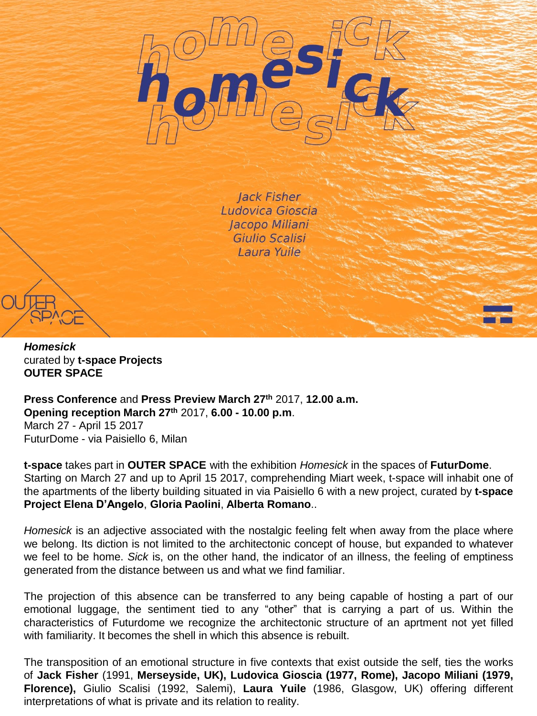

**Jack Fisher** Ludovica Gioscia Jacopo Miliani Giulio Scalisi Laura Yuile



**Press Conference** and **Press Preview March 27th** 2017, **12.00 a.m. Opening reception March 27th** 2017, **6.00 - 10.00 p.m**. March 27 - April 15 2017 FuturDome - via Paisiello 6, Milan

**t-space** takes part in **OUTER SPACE** with the exhibition *Homesick* in the spaces of **FuturDome**. Starting on March 27 and up to April 15 2017, comprehending Miart week, t-space will inhabit one of the apartments of the liberty building situated in via Paisiello 6 with a new project, curated by **t-space Project Elena D'Angelo**, **Gloria Paolini**, **Alberta Romano**..

*Homesick* is an adjective associated with the nostalgic feeling felt when away from the place where we belong. Its diction is not limited to the architectonic concept of house, but expanded to whatever we feel to be home. *Sick* is, on the other hand, the indicator of an illness, the feeling of emptiness generated from the distance between us and what we find familiar.

The projection of this absence can be transferred to any being capable of hosting a part of our emotional luggage, the sentiment tied to any "other" that is carrying a part of us. Within the characteristics of Futurdome we recognize the architectonic structure of an aprtment not yet filled with familiarity. It becomes the shell in which this absence is rebuilt.

The transposition of an emotional structure in five contexts that exist outside the self, ties the works of **Jack Fisher** (1991, **Merseyside, UK), Ludovica Gioscia (1977, Rome), Jacopo Miliani (1979, Florence),** Giulio Scalisi (1992, Salemi), **Laura Yuile** (1986, Glasgow, UK) offering different interpretations of what is private and its relation to reality.